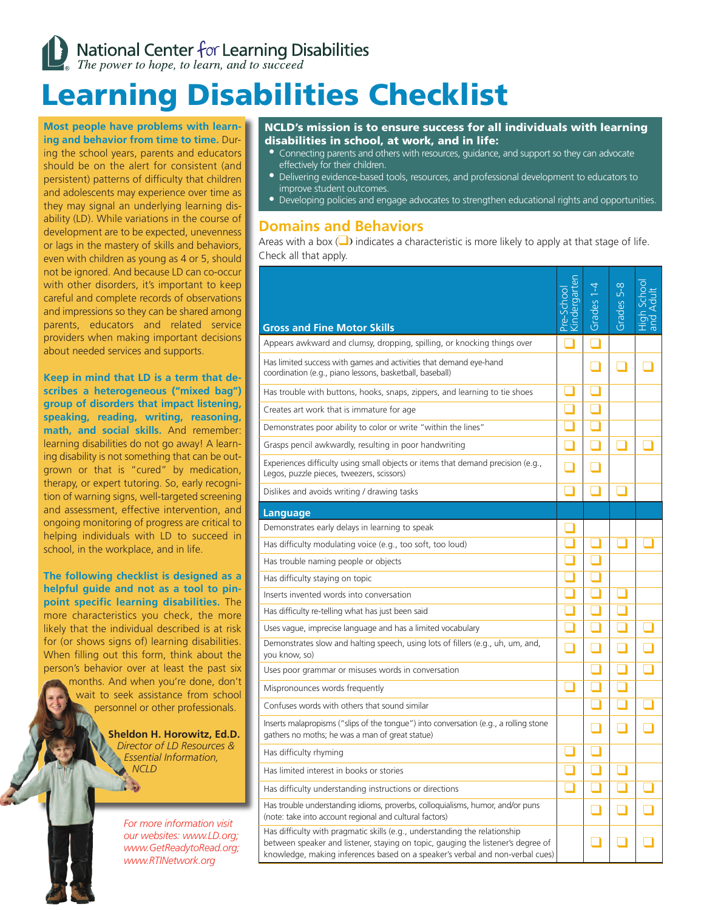## **National Center for Learning Disabilities** The power to hope, to learn, and to succeed

# **Learning Disabilities Checklist**

**Most people have problems with learning and behavior from time to time.** During the school years, parents and educators should be on the alert for consistent (and persistent) patterns of difficulty that children and adolescents may experience over time as they may signal an underlying learning disability (LD). While variations in the course of development are to be expected, unevenness or lags in the mastery of skills and behaviors, even with children as young as 4 or 5, should not be ignored. And because LD can co-occur with other disorders, it's important to keep careful and complete records of observations and impressions so they can be shared among parents, educators and related service providers when making important decisions about needed services and supports.

**Keep in mind that LD is a term that describes a heterogeneous ("mixed bag") group of disorders that impact listening, speaking, reading, writing, reasoning, math, and social skills.** And remember: learning disabilities do not go away! A learning disability is not something that can be outgrown or that is "cured" by medication, therapy, or expert tutoring. So, early recognition of warning signs, well-targeted screening and assessment, effective intervention, and ongoing monitoring of progress are critical to helping individuals with LD to succeed in school, in the workplace, and in life.

**The following checklist is designed as a helpful guide and not as a tool to pinpoint specific learning disabilities.** The more characteristics you check, the more likely that the individual described is at risk for (or shows signs of) learning disabilities. When filling out this form, think about the person's behavior over at least the past six months. And when you're done, don't wait to seek assistance from school personnel or other professionals.

A b

**Sheldon H. Horowitz, Ed.D.** *Director of LD Resources & Essential Information, NCLD*



*For more information visit our websites: www.LD.org; www.GetReadytoRead.org; www.RTINetwork.org*

#### **NCLD's mission is to ensure success for all individuals with learning disabilities in school, at work, and in life:**

- Connecting parents and others with resources, guidance, and support so they can advocate effectively for their children.
- Delivering evidence-based tools, resources, and professional development to educators to improve student outcomes.
- Developing policies and engage advocates to strengthen educational rights and opportunities.

### **Domains and Behaviors**

Areas with a box  $\Box$ ) indicates a characteristic is more likely to apply at that stage of life. Check all that apply.

| <b>Gross and Fine Motor Skills</b>                                                                                                                                                                                                              | Kindergarte<br>Pre-School | Grades 1-4 | Grades 5-8 |  |
|-------------------------------------------------------------------------------------------------------------------------------------------------------------------------------------------------------------------------------------------------|---------------------------|------------|------------|--|
| Appears awkward and clumsy, dropping, spilling, or knocking things over                                                                                                                                                                         |                           |            |            |  |
| Has limited success with games and activities that demand eye-hand<br>coordination (e.g., piano lessons, basketball, baseball)                                                                                                                  |                           |            |            |  |
| Has trouble with buttons, hooks, snaps, zippers, and learning to tie shoes                                                                                                                                                                      | - I                       |            |            |  |
| Creates art work that is immature for age                                                                                                                                                                                                       |                           |            |            |  |
| Demonstrates poor ability to color or write "within the lines"                                                                                                                                                                                  |                           |            |            |  |
| Grasps pencil awkwardly, resulting in poor handwriting                                                                                                                                                                                          |                           |            |            |  |
| Experiences difficulty using small objects or items that demand precision (e.g.,<br>Legos, puzzle pieces, tweezers, scissors)                                                                                                                   |                           |            |            |  |
| Dislikes and avoids writing / drawing tasks                                                                                                                                                                                                     |                           |            |            |  |
| Language                                                                                                                                                                                                                                        |                           |            |            |  |
| Demonstrates early delays in learning to speak                                                                                                                                                                                                  |                           |            |            |  |
| Has difficulty modulating voice (e.g., too soft, too loud)                                                                                                                                                                                      |                           |            |            |  |
| Has trouble naming people or objects                                                                                                                                                                                                            |                           |            |            |  |
| Has difficulty staying on topic                                                                                                                                                                                                                 |                           |            |            |  |
| Inserts invented words into conversation                                                                                                                                                                                                        |                           |            |            |  |
| Has difficulty re-telling what has just been said                                                                                                                                                                                               |                           |            |            |  |
| Uses vague, imprecise language and has a limited vocabulary                                                                                                                                                                                     |                           |            |            |  |
| Demonstrates slow and halting speech, using lots of fillers (e.g., uh, um, and,<br>you know, so)                                                                                                                                                |                           |            |            |  |
| Uses poor grammar or misuses words in conversation                                                                                                                                                                                              |                           |            |            |  |
| Mispronounces words frequently                                                                                                                                                                                                                  |                           |            |            |  |
| Confuses words with others that sound similar                                                                                                                                                                                                   |                           |            |            |  |
| Inserts malapropisms ("slips of the tongue") into conversation (e.g., a rolling stone<br>gathers no moths; he was a man of great statue)                                                                                                        |                           |            |            |  |
| Has difficulty rhyming                                                                                                                                                                                                                          |                           |            |            |  |
| Has limited interest in books or stories                                                                                                                                                                                                        |                           |            |            |  |
| Has difficulty understanding instructions or directions                                                                                                                                                                                         | a l                       |            |            |  |
| Has trouble understanding idioms, proverbs, colloquialisms, humor, and/or puns<br>(note: take into account regional and cultural factors)                                                                                                       |                           |            |            |  |
| Has difficulty with pragmatic skills (e.g., understanding the relationship<br>between speaker and listener, staying on topic, gauging the listener's degree of<br>knowledge, making inferences based on a speaker's verbal and non-verbal cues) |                           |            |            |  |